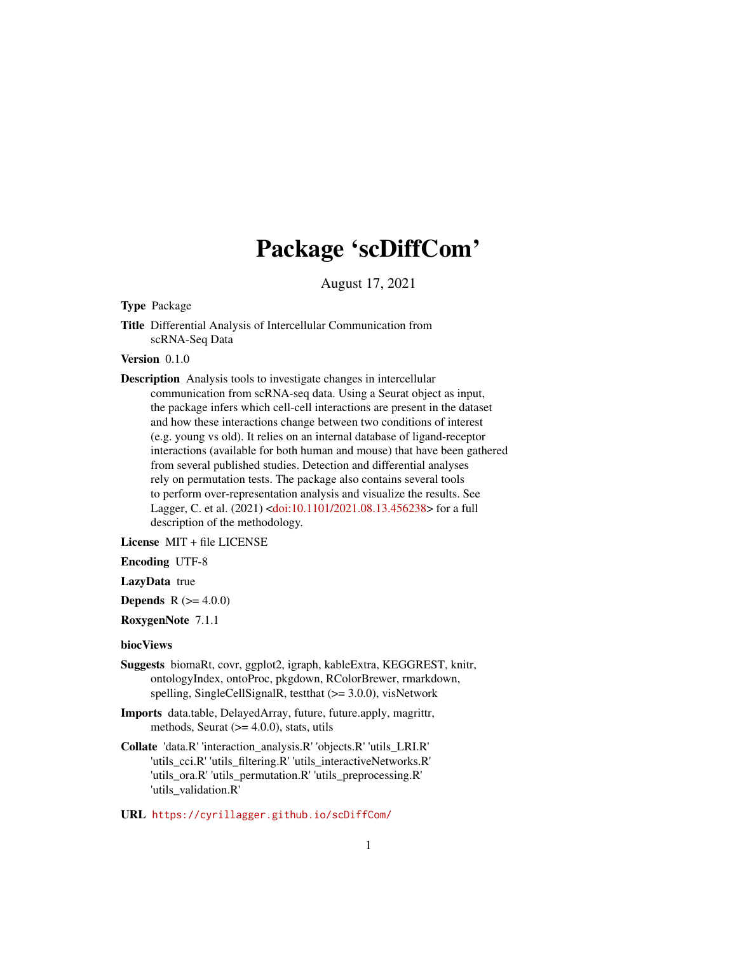## Package 'scDiffCom'

August 17, 2021

Type Package

Title Differential Analysis of Intercellular Communication from scRNA-Seq Data

Version 0.1.0

Description Analysis tools to investigate changes in intercellular communication from scRNA-seq data. Using a Seurat object as input, the package infers which cell-cell interactions are present in the dataset and how these interactions change between two conditions of interest (e.g. young vs old). It relies on an internal database of ligand-receptor interactions (available for both human and mouse) that have been gathered from several published studies. Detection and differential analyses rely on permutation tests. The package also contains several tools to perform over-representation analysis and visualize the results. See Lagger, C. et al. (2021) [<doi:10.1101/2021.08.13.456238>](https://doi.org/10.1101/2021.08.13.456238) for a full description of the methodology.

License MIT + file LICENSE

Encoding UTF-8

LazyData true

**Depends** R  $(>= 4.0.0)$ 

RoxygenNote 7.1.1

biocViews

- Suggests biomaRt, covr, ggplot2, igraph, kableExtra, KEGGREST, knitr, ontologyIndex, ontoProc, pkgdown, RColorBrewer, rmarkdown, spelling, SingleCellSignalR, testthat (>= 3.0.0), visNetwork
- Imports data.table, DelayedArray, future, future.apply, magrittr, methods, Seurat  $(>= 4.0.0)$ , stats, utils
- Collate 'data.R' 'interaction\_analysis.R' 'objects.R' 'utils\_LRI.R' 'utils\_cci.R' 'utils\_filtering.R' 'utils\_interactiveNetworks.R' 'utils\_ora.R' 'utils\_permutation.R' 'utils\_preprocessing.R' 'utils\_validation.R'

URL <https://cyrillagger.github.io/scDiffCom/>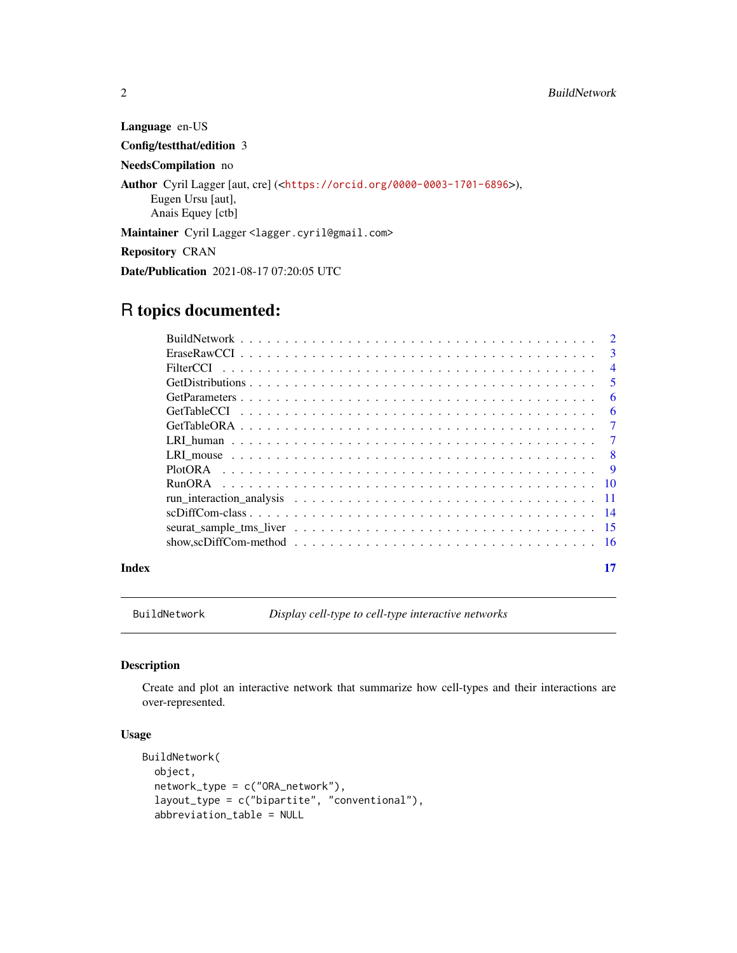Language en-US Config/testthat/edition 3 NeedsCompilation no Author Cyril Lagger [aut, cre] (<<https://orcid.org/0000-0003-1701-6896>>), Eugen Ursu [aut], Anais Equey [ctb] Maintainer Cyril Lagger <lagger.cyril@gmail.com> Repository CRAN Date/Publication 2021-08-17 07:20:05 UTC

## R topics documented:

|  | $\overline{4}$ |
|--|----------------|
|  | $\sqrt{5}$     |
|  | - 6            |
|  | - 6            |
|  |                |
|  |                |
|  |                |
|  |                |
|  |                |
|  |                |
|  |                |
|  |                |
|  |                |
|  |                |

#### **Index** [17](#page-16-0)

BuildNetwork *Display cell-type to cell-type interactive networks*

## Description

Create and plot an interactive network that summarize how cell-types and their interactions are over-represented.

## Usage

```
BuildNetwork(
 object,
  network_type = c("ORA_network"),
  layout_type = c("bipartite", "conventional"),
  abbreviation_table = NULL
```
<span id="page-1-0"></span>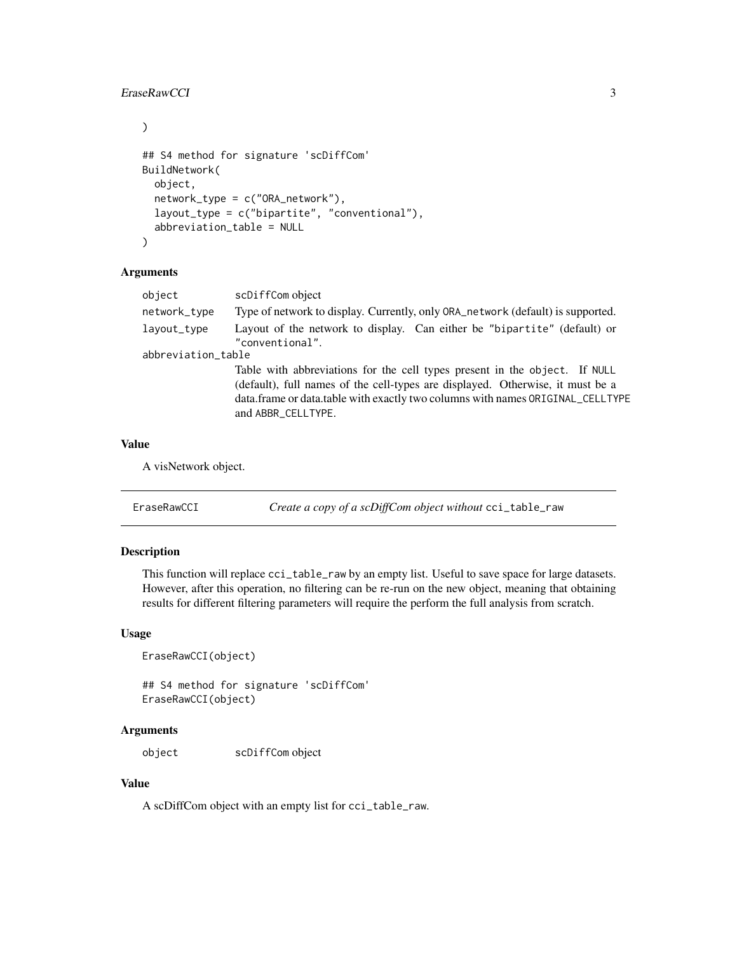## <span id="page-2-0"></span>EraseRawCCI 3

 $\mathcal{L}$ 

```
## S4 method for signature 'scDiffCom'
BuildNetwork(
  object,
  network_type = c("ORA_network"),
  layout_type = c("bipartite", "conventional"),
  abbreviation_table = NULL
\lambda
```
## Arguments

| object             | scDiffCom object                                                                                                                                                                                                                                                     |  |
|--------------------|----------------------------------------------------------------------------------------------------------------------------------------------------------------------------------------------------------------------------------------------------------------------|--|
| network_type       | Type of network to display. Currently, only ORA_network (default) is supported.                                                                                                                                                                                      |  |
| layout_type        | Layout of the network to display. Can either be "bipartite" (default) or<br>"conventional".                                                                                                                                                                          |  |
| abbreviation_table |                                                                                                                                                                                                                                                                      |  |
|                    | Table with abbreviations for the cell types present in the object. If NULL<br>(default), full names of the cell-types are displayed. Otherwise, it must be a<br>data.frame or data.table with exactly two columns with names ORIGINAL_CELLTYPE<br>and ABBR CELLTYPE. |  |

## Value

A visNetwork object.

<span id="page-2-1"></span>EraseRawCCI *Create a copy of a scDiffCom object without* cci\_table\_raw

## Description

This function will replace cci\_table\_raw by an empty list. Useful to save space for large datasets. However, after this operation, no filtering can be re-run on the new object, meaning that obtaining results for different filtering parameters will require the perform the full analysis from scratch.

## Usage

```
EraseRawCCI(object)
```
## S4 method for signature 'scDiffCom' EraseRawCCI(object)

#### Arguments

object scDiffCom object

#### Value

A scDiffCom object with an empty list for cci\_table\_raw.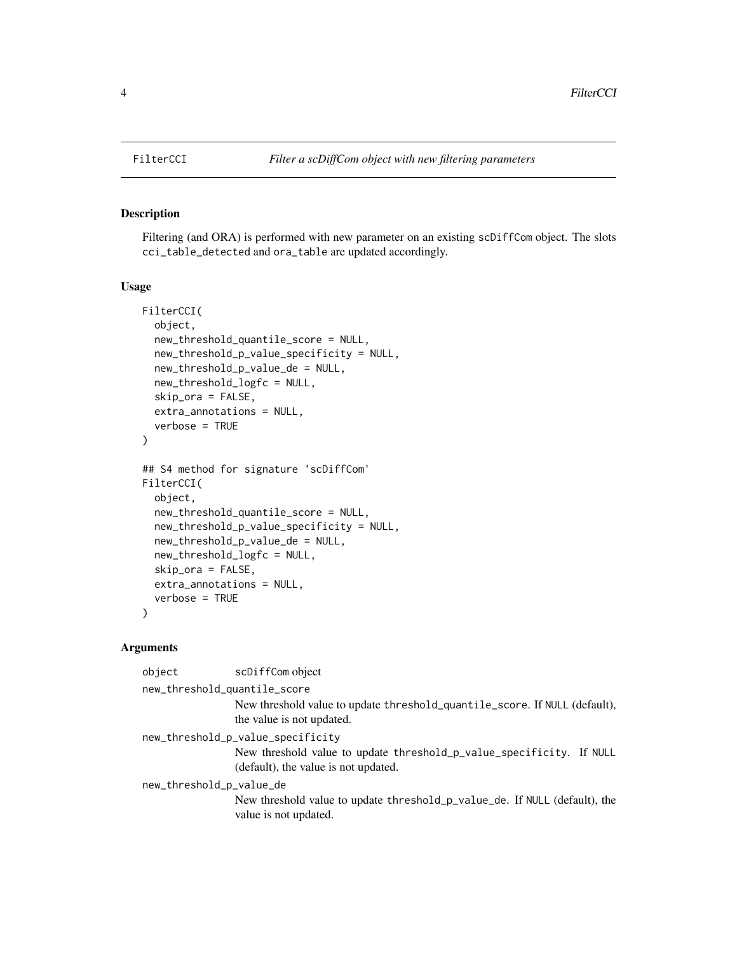## Description

Filtering (and ORA) is performed with new parameter on an existing scDiffCom object. The slots cci\_table\_detected and ora\_table are updated accordingly.

## Usage

```
FilterCCI(
  object,
  new_threshold_quantile_score = NULL,
  new_threshold_p_value_specificity = NULL,
  new_threshold_p_value_de = NULL,
  new_threshold_logfc = NULL,
  skip_ora = FALSE,
  extra_annotations = NULL,
  verbose = TRUE
)
## S4 method for signature 'scDiffCom'
FilterCCI(
  object,
  new_threshold_quantile_score = NULL,
  new_threshold_p_value_specificity = NULL,
  new_threshold_p_value_de = NULL,
  new_threshold_logfc = NULL,
  skip_ora = FALSE,
  extra_annotations = NULL,
  verbose = TRUE
)
```

| object                            | scDiffCom object                                                                                             |  |
|-----------------------------------|--------------------------------------------------------------------------------------------------------------|--|
| new_threshold_quantile_score      |                                                                                                              |  |
|                                   | New threshold value to update threshold_quantile_score. If NULL (default),<br>the value is not updated.      |  |
| new_threshold_p_value_specificity |                                                                                                              |  |
|                                   | New threshold value to update threshold_p_value_specificity. If NULL<br>(default), the value is not updated. |  |
| new_threshold_p_value_de          |                                                                                                              |  |
|                                   | New threshold value to update threshold_p_value_de. If NULL (default), the<br>value is not updated.          |  |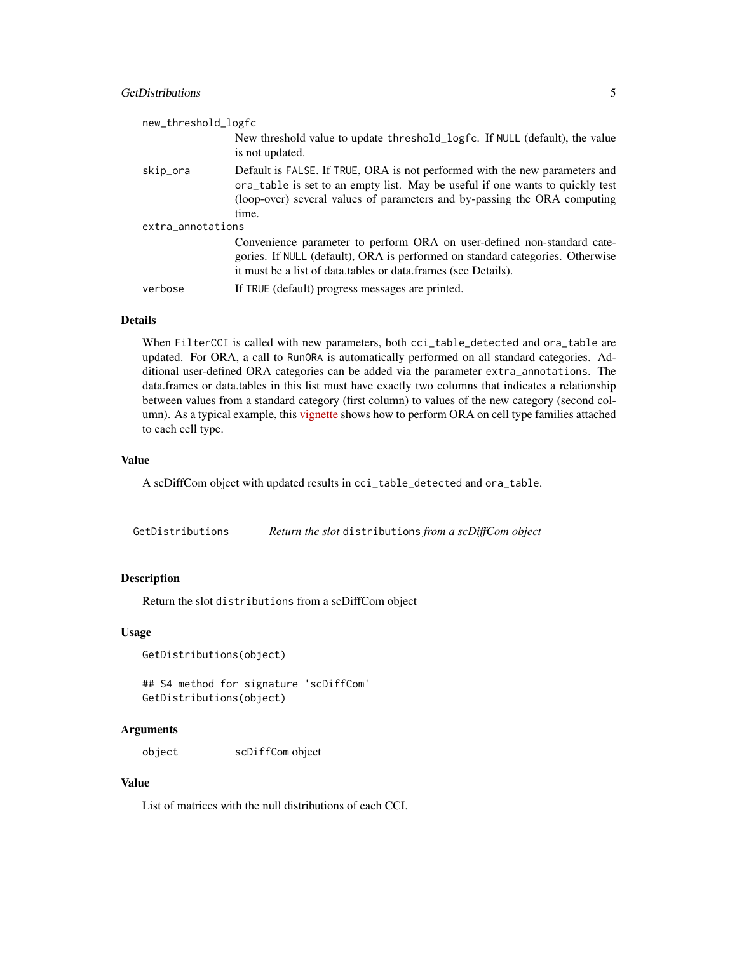## <span id="page-4-0"></span>GetDistributions 5

| new_threshold_logfc |                                                                                                                                                                                                                                                    |  |
|---------------------|----------------------------------------------------------------------------------------------------------------------------------------------------------------------------------------------------------------------------------------------------|--|
|                     | New threshold value to update threshold_logfc. If NULL (default), the value<br>is not updated.                                                                                                                                                     |  |
| skip_ora            | Default is FALSE. If TRUE, ORA is not performed with the new parameters and<br>ora_table is set to an empty list. May be useful if one wants to quickly test<br>(loop-over) several values of parameters and by-passing the ORA computing<br>time. |  |
| extra_annotations   |                                                                                                                                                                                                                                                    |  |
|                     | Convenience parameter to perform ORA on user-defined non-standard cate-<br>gories. If NULL (default), ORA is performed on standard categories. Otherwise<br>it must be a list of data.tables or data.frames (see Details).                         |  |
| verbose             | If TRUE (default) progress messages are printed.                                                                                                                                                                                                   |  |

#### Details

When FilterCCI is called with new parameters, both cci\_table\_detected and ora\_table are updated. For ORA, a call to RunORA is automatically performed on all standard categories. Additional user-defined ORA categories can be added via the parameter extra\_annotations. The data.frames or data.tables in this list must have exactly two columns that indicates a relationship between values from a standard category (first column) to values of the new category (second column). As a typical example, this [vignette](https://cyrillagger.github.io/scDiffCom/articles/scDiffCom-vignette.html) shows how to perform ORA on cell type families attached to each cell type.

#### Value

A scDiffCom object with updated results in cci\_table\_detected and ora\_table.

GetDistributions *Return the slot* distributions *from a scDiffCom object*

#### Description

Return the slot distributions from a scDiffCom object

#### Usage

```
GetDistributions(object)
```
## S4 method for signature 'scDiffCom' GetDistributions(object)

#### **Arguments**

object scDiffCom object

## Value

List of matrices with the null distributions of each CCI.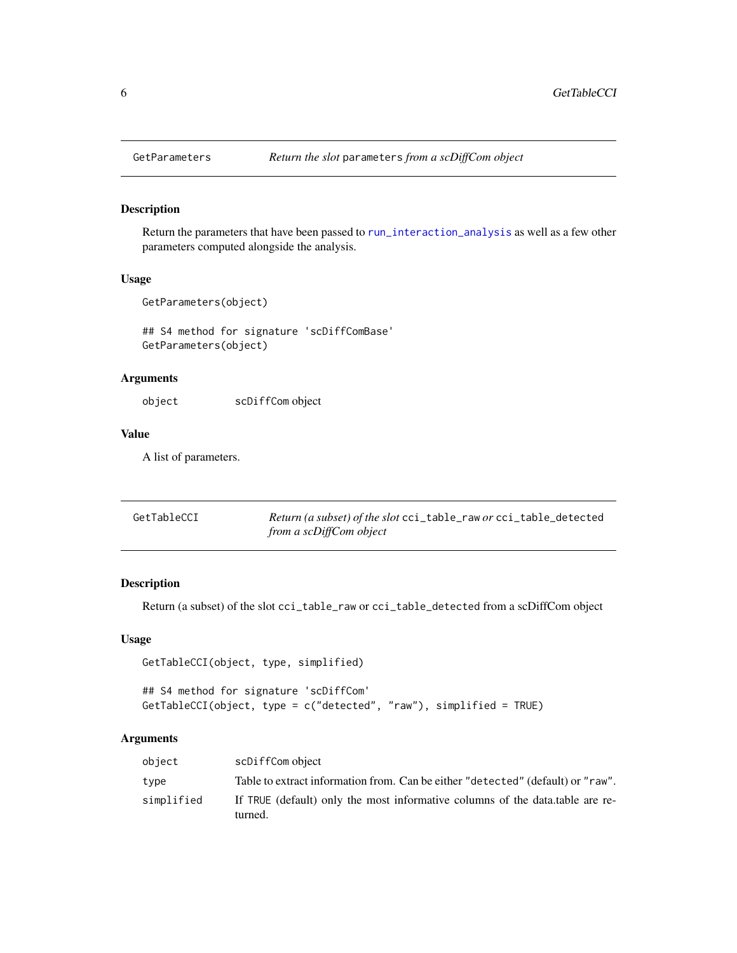<span id="page-5-0"></span>

#### Description

Return the parameters that have been passed to [run\\_interaction\\_analysis](#page-10-1) as well as a few other parameters computed alongside the analysis.

## Usage

GetParameters(object)

## S4 method for signature 'scDiffComBase' GetParameters(object)

## Arguments

object scDiffCom object

#### Value

A list of parameters.

| GetTableCCI | Return (a subset) of the slot cci_table_raw or cci_table_detected |
|-------------|-------------------------------------------------------------------|
|             | from a scDiffCom object                                           |

## Description

Return (a subset) of the slot cci\_table\_raw or cci\_table\_detected from a scDiffCom object

## Usage

```
GetTableCCI(object, type, simplified)
```

```
## S4 method for signature 'scDiffCom'
GetTableCCI(object, type = c("detected", "raw"), simplified = TRUE)
```

| object     | scDiffCom object                                                                         |
|------------|------------------------------------------------------------------------------------------|
| type       | Table to extract information from. Can be either "detected" (default) or "raw".          |
| simplified | If TRUE (default) only the most informative columns of the data table are re-<br>turned. |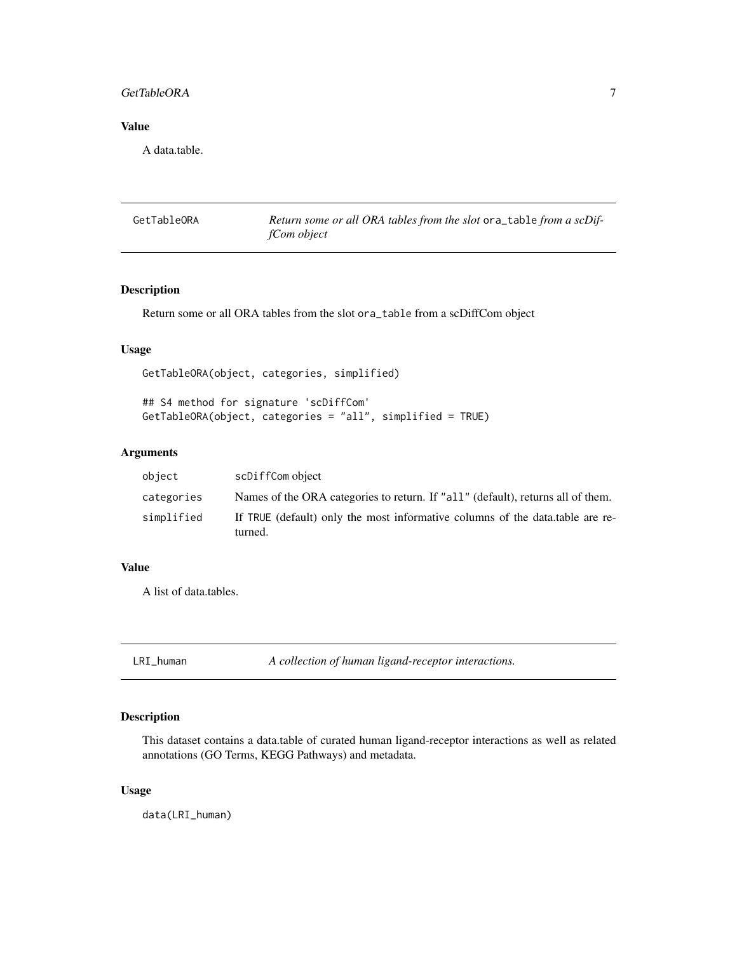## <span id="page-6-0"></span>GetTableORA 7

## Value

A data.table.

GetTableORA *Return some or all ORA tables from the slot* ora\_table *from a scDiffCom object*

## Description

Return some or all ORA tables from the slot ora\_table from a scDiffCom object

## Usage

GetTableORA(object, categories, simplified)

## S4 method for signature 'scDiffCom' GetTableORA(object, categories = "all", simplified = TRUE)

## Arguments

| object     | scDiffCom object                                                                         |
|------------|------------------------------------------------------------------------------------------|
| categories | Names of the ORA categories to return. If "all" (default), returns all of them.          |
| simplified | If TRUE (default) only the most informative columns of the data table are re-<br>turned. |

#### Value

A list of data.tables.

LRI\_human *A collection of human ligand-receptor interactions.*

## Description

This dataset contains a data.table of curated human ligand-receptor interactions as well as related annotations (GO Terms, KEGG Pathways) and metadata.

#### Usage

data(LRI\_human)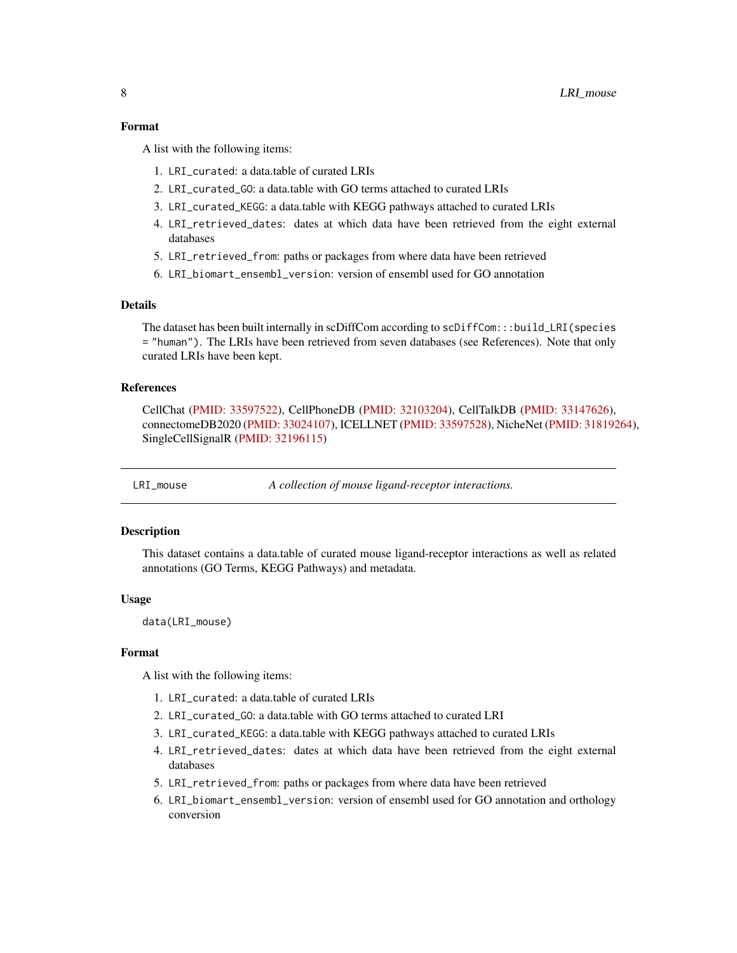#### <span id="page-7-0"></span>Format

A list with the following items:

- 1. LRI\_curated: a data.table of curated LRIs
- 2. LRI\_curated\_GO: a data.table with GO terms attached to curated LRIs
- 3. LRI\_curated\_KEGG: a data.table with KEGG pathways attached to curated LRIs
- 4. LRI\_retrieved\_dates: dates at which data have been retrieved from the eight external databases
- 5. LRI\_retrieved\_from: paths or packages from where data have been retrieved
- 6. LRI\_biomart\_ensembl\_version: version of ensembl used for GO annotation

#### Details

The dataset has been built internally in scDiffCom according to scDiffCom:::build\_LRI(species = "human"). The LRIs have been retrieved from seven databases (see References). Note that only curated LRIs have been kept.

#### References

CellChat [\(PMID: 33597522\)](https://pubmed.ncbi.nlm.nih.gov/33597522/), CellPhoneDB [\(PMID: 32103204\)](https://pubmed.ncbi.nlm.nih.gov/32103204/), CellTalkDB [\(PMID: 33147626\)](https://pubmed.ncbi.nlm.nih.gov/33147626/), connectomeDB2020 [\(PMID: 33024107\)](https://pubmed.ncbi.nlm.nih.gov/33024107/), ICELLNET [\(PMID: 33597528\)](https://pubmed.ncbi.nlm.nih.gov/33597528/), NicheNet [\(PMID: 31819264\)](https://pubmed.ncbi.nlm.nih.gov/31819264/), SingleCellSignalR [\(PMID: 32196115\)](https://pubmed.ncbi.nlm.nih.gov/32196115/)

LRI\_mouse *A collection of mouse ligand-receptor interactions.*

#### **Description**

This dataset contains a data.table of curated mouse ligand-receptor interactions as well as related annotations (GO Terms, KEGG Pathways) and metadata.

#### Usage

data(LRI\_mouse)

#### Format

A list with the following items:

- 1. LRI\_curated: a data.table of curated LRIs
- 2. LRI\_curated\_GO: a data.table with GO terms attached to curated LRI
- 3. LRI\_curated\_KEGG: a data.table with KEGG pathways attached to curated LRIs
- 4. LRI\_retrieved\_dates: dates at which data have been retrieved from the eight external databases
- 5. LRI\_retrieved\_from: paths or packages from where data have been retrieved
- 6. LRI\_biomart\_ensembl\_version: version of ensembl used for GO annotation and orthology conversion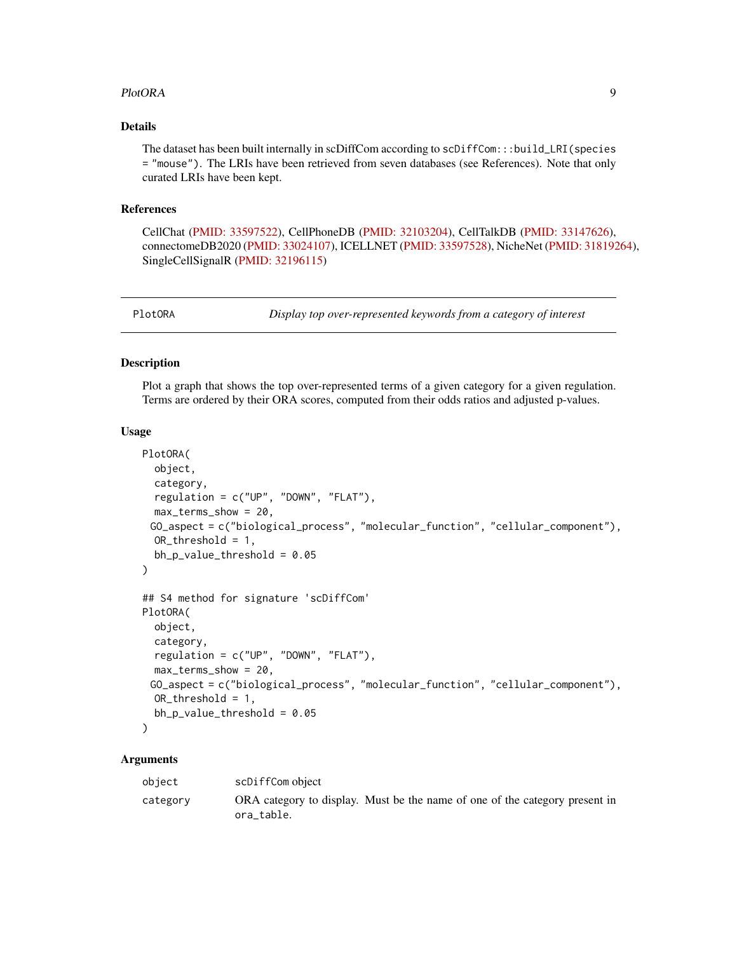#### <span id="page-8-0"></span>PlotORA 99

## Details

The dataset has been built internally in scDiffCom according to scDiffCom:::build\_LRI(species = "mouse"). The LRIs have been retrieved from seven databases (see References). Note that only curated LRIs have been kept.

#### References

CellChat [\(PMID: 33597522\)](https://pubmed.ncbi.nlm.nih.gov/33597522/), CellPhoneDB [\(PMID: 32103204\)](https://pubmed.ncbi.nlm.nih.gov/32103204/), CellTalkDB [\(PMID: 33147626\)](https://pubmed.ncbi.nlm.nih.gov/33147626/), connectomeDB2020 [\(PMID: 33024107\)](https://pubmed.ncbi.nlm.nih.gov/33024107/), ICELLNET [\(PMID: 33597528\)](https://pubmed.ncbi.nlm.nih.gov/33597528/), NicheNet [\(PMID: 31819264\)](https://pubmed.ncbi.nlm.nih.gov/31819264/), SingleCellSignalR [\(PMID: 32196115\)](https://pubmed.ncbi.nlm.nih.gov/32196115/)

PlotORA *Display top over-represented keywords from a category of interest*

## Description

Plot a graph that shows the top over-represented terms of a given category for a given regulation. Terms are ordered by their ORA scores, computed from their odds ratios and adjusted p-values.

#### Usage

```
PlotORA(
 object,
  category,
  regulation = c("UP", "DOWN", "FLAT"),
 max_terms_show = 20,
 GO_aspect = c("biological_process", "molecular_function", "cellular_component"),
 OR_threshold = 1,
 bh_p_value_threshold = 0.05
\mathcal{L}## S4 method for signature 'scDiffCom'
PlotORA(
  object,
  category,
  regulation = c("UP", "DOWN", "FLAT"),
 max_terms_show = 20,
 GO_aspect = c("biological_process", "molecular_function", "cellular_component"),
 OR_threshold = 1,
 bh_p_value_threshold = 0.05
\lambda
```

| object   | scDiffCom object                                                                          |
|----------|-------------------------------------------------------------------------------------------|
| category | ORA category to display. Must be the name of one of the category present in<br>ora table. |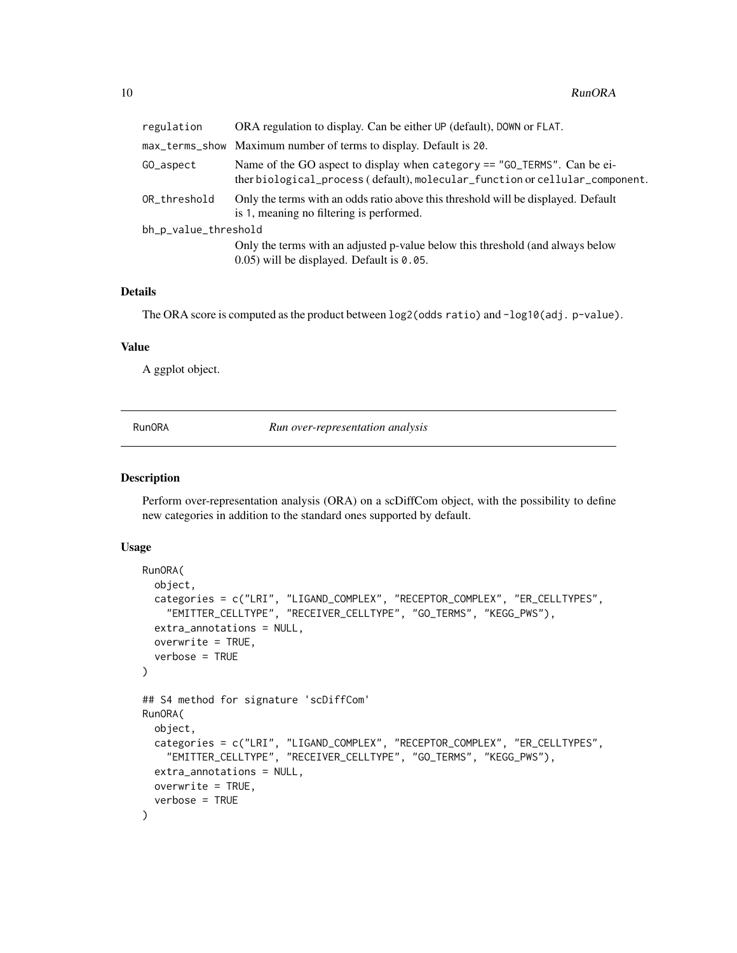<span id="page-9-0"></span>

| regulation           | ORA regulation to display. Can be either UP (default), DOWN or FLAT.                                                                                     |
|----------------------|----------------------------------------------------------------------------------------------------------------------------------------------------------|
|                      | max_terms_show Maximum number of terms to display. Default is 20.                                                                                        |
| GO_aspect            | Name of the GO aspect to display when category == "GO_TERMS". Can be ei-<br>ther biological_process (default), molecular_function or cellular_component. |
| OR_threshold         | Only the terms with an odds ratio above this threshold will be displayed. Default<br>is 1, meaning no filtering is performed.                            |
| bh_p_value_threshold |                                                                                                                                                          |
|                      | Only the terms with an adjusted p-value below this threshold (and always below<br>0.05) will be displayed. Default is 0.05.                              |

## Details

The ORA score is computed as the product between log2(odds ratio) and -log10(adj. p-value).

## Value

A ggplot object.

<span id="page-9-1"></span>

RunORA *Run over-representation analysis*

### Description

Perform over-representation analysis (ORA) on a scDiffCom object, with the possibility to define new categories in addition to the standard ones supported by default.

#### Usage

```
RunORA(
  object,
  categories = c("LRI", "LIGAND_COMPLEX", "RECEPTOR_COMPLEX", "ER_CELLTYPES",
    "EMITTER_CELLTYPE", "RECEIVER_CELLTYPE", "GO_TERMS", "KEGG_PWS"),
  extra_annotations = NULL,
  overwrite = TRUE,
  verbose = TRUE
\mathcal{L}## S4 method for signature 'scDiffCom'
RunORA(
  object,
  categories = c("LRI", "LIGAND_COMPLEX", "RECEPTOR_COMPLEX", "ER_CELLTYPES",
    "EMITTER_CELLTYPE", "RECEIVER_CELLTYPE", "GO_TERMS", "KEGG_PWS"),
  extra_annotations = NULL,
 overwrite = TRUE,
  verbose = TRUE
)
```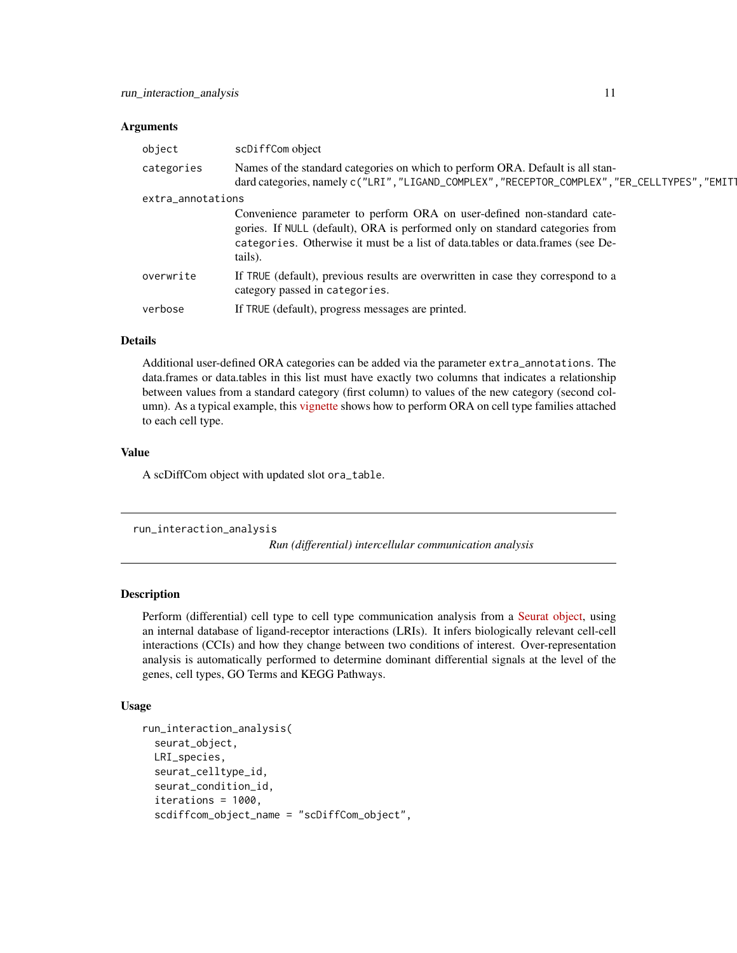#### <span id="page-10-0"></span>**Arguments**

| object            | scDiffCom object                                                                                                                                                                                                                                     |
|-------------------|------------------------------------------------------------------------------------------------------------------------------------------------------------------------------------------------------------------------------------------------------|
| categories        | Names of the standard categories on which to perform ORA. Default is all stan-<br>dard categories, namely c("LRI", "LIGAND_COMPLEX", "RECEPTOR_COMPLEX", "ER_CELLTYPES", "EMIT1                                                                      |
| extra_annotations |                                                                                                                                                                                                                                                      |
|                   | Convenience parameter to perform ORA on user-defined non-standard cate-<br>gories. If NULL (default), ORA is performed only on standard categories from<br>categories. Otherwise it must be a list of data.tables or data.frames (see De-<br>tails). |
| overwrite         | If TRUE (default), previous results are overwritten in case they correspond to a<br>category passed in categories.                                                                                                                                   |
| verbose           | If TRUE (default), progress messages are printed.                                                                                                                                                                                                    |

## Details

Additional user-defined ORA categories can be added via the parameter extra\_annotations. The data.frames or data.tables in this list must have exactly two columns that indicates a relationship between values from a standard category (first column) to values of the new category (second column). As a typical example, this [vignette](https://cyrillagger.github.io/scDiffCom/articles/scDiffCom-vignette.html) shows how to perform ORA on cell type families attached to each cell type.

#### Value

A scDiffCom object with updated slot ora\_table.

```
run_interaction_analysis
```
*Run (differential) intercellular communication analysis*

## Description

Perform (differential) cell type to cell type communication analysis from a [Seurat object,](https://satijalab.org/seurat/index.html) using an internal database of ligand-receptor interactions (LRIs). It infers biologically relevant cell-cell interactions (CCIs) and how they change between two conditions of interest. Over-representation analysis is automatically performed to determine dominant differential signals at the level of the genes, cell types, GO Terms and KEGG Pathways.

#### Usage

```
run_interaction_analysis(
  seurat_object,
 LRI_species,
  seurat_celltype_id,
  seurat_condition_id,
  iterations = 1000,
  scdiffcom_object_name = "scDiffCom_object",
```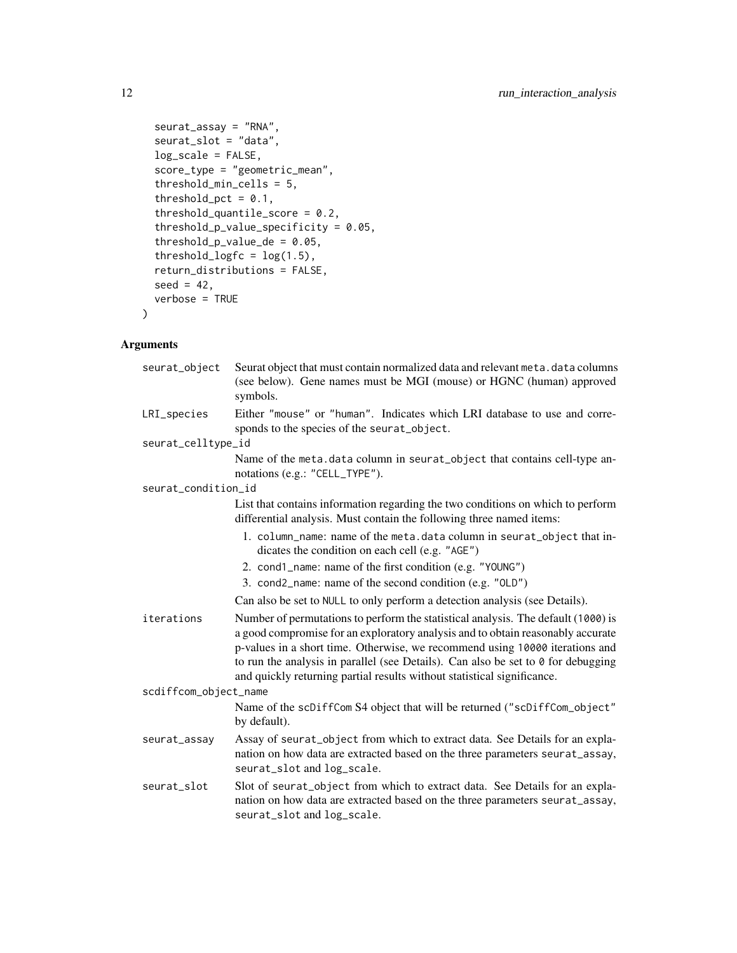```
seurat_assay = "RNA",
  seurat_slot = "data",
 log_scale = FALSE,
  score_type = "geometric_mean",
  threshold_min_cells = 5,
  threshold_pct = 0.1,
  threshold_quantile_score = 0.2,
  threshold_p_value_specificity = 0.05,
  threshold\_p_value_d = 0.05,
  threshold\_logfc = log(1.5),
  return_distributions = FALSE,
 seed = 42,
 verbose = TRUE
\mathcal{L}
```

| seurat_object         | Seurat object that must contain normalized data and relevant meta. data columns<br>(see below). Gene names must be MGI (mouse) or HGNC (human) approved<br>symbols.                                                                                                                                                                                                                                                         |
|-----------------------|-----------------------------------------------------------------------------------------------------------------------------------------------------------------------------------------------------------------------------------------------------------------------------------------------------------------------------------------------------------------------------------------------------------------------------|
| LRI_species           | Either "mouse" or "human". Indicates which LRI database to use and corre-<br>sponds to the species of the seurat_object.                                                                                                                                                                                                                                                                                                    |
| seurat_celltype_id    |                                                                                                                                                                                                                                                                                                                                                                                                                             |
|                       | Name of the meta.data column in seurat_object that contains cell-type an-<br>notations (e.g.: "CELL_TYPE").                                                                                                                                                                                                                                                                                                                 |
| seurat_condition_id   |                                                                                                                                                                                                                                                                                                                                                                                                                             |
|                       | List that contains information regarding the two conditions on which to perform<br>differential analysis. Must contain the following three named items:                                                                                                                                                                                                                                                                     |
|                       | 1. column_name: name of the meta.data column in seurat_object that in-<br>dicates the condition on each cell (e.g. "AGE")                                                                                                                                                                                                                                                                                                   |
|                       | 2. cond1_name: name of the first condition (e.g. "YOUNG")                                                                                                                                                                                                                                                                                                                                                                   |
|                       | 3. cond2_name: name of the second condition (e.g. "OLD")                                                                                                                                                                                                                                                                                                                                                                    |
|                       | Can also be set to NULL to only perform a detection analysis (see Details).                                                                                                                                                                                                                                                                                                                                                 |
| iterations            | Number of permutations to perform the statistical analysis. The default (1000) is<br>a good compromise for an exploratory analysis and to obtain reasonably accurate<br>p-values in a short time. Otherwise, we recommend using 10000 iterations and<br>to run the analysis in parallel (see Details). Can also be set to $\theta$ for debugging<br>and quickly returning partial results without statistical significance. |
| scdiffcom_object_name |                                                                                                                                                                                                                                                                                                                                                                                                                             |
|                       | Name of the scDiffCom S4 object that will be returned ("scDiffCom_object"<br>by default).                                                                                                                                                                                                                                                                                                                                   |
| seurat_assay          | Assay of seurat_object from which to extract data. See Details for an expla-<br>nation on how data are extracted based on the three parameters seurat_assay,<br>seurat_slot and log_scale.                                                                                                                                                                                                                                  |
| seurat_slot           | Slot of seurat_object from which to extract data. See Details for an expla-<br>nation on how data are extracted based on the three parameters seurat_assay,<br>seurat_slot and log_scale.                                                                                                                                                                                                                                   |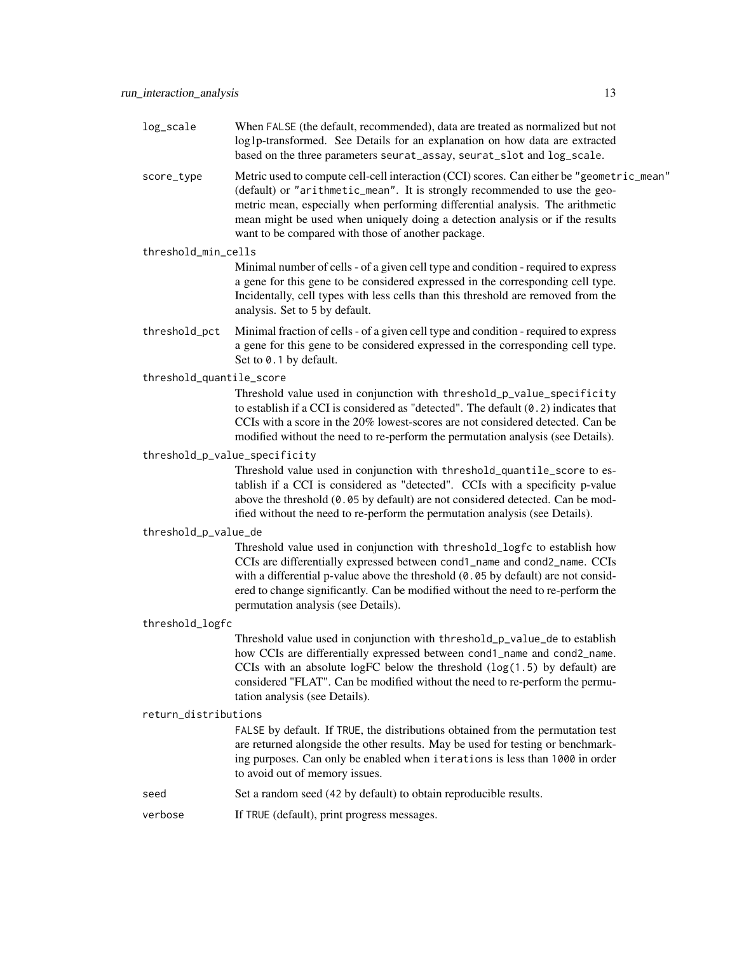| log_scale                     | When FALSE (the default, recommended), data are treated as normalized but not<br>log1p-transformed. See Details for an explanation on how data are extracted<br>based on the three parameters seurat_assay, seurat_slot and log_scale.                                                                                                                                                          |  |
|-------------------------------|-------------------------------------------------------------------------------------------------------------------------------------------------------------------------------------------------------------------------------------------------------------------------------------------------------------------------------------------------------------------------------------------------|--|
| score_type                    | Metric used to compute cell-cell interaction (CCI) scores. Can either be "geometric_mean"<br>(default) or "arithmetic_mean". It is strongly recommended to use the geo-<br>metric mean, especially when performing differential analysis. The arithmetic<br>mean might be used when uniquely doing a detection analysis or if the results<br>want to be compared with those of another package. |  |
| threshold_min_cells           |                                                                                                                                                                                                                                                                                                                                                                                                 |  |
|                               | Minimal number of cells - of a given cell type and condition - required to express<br>a gene for this gene to be considered expressed in the corresponding cell type.<br>Incidentally, cell types with less cells than this threshold are removed from the<br>analysis. Set to 5 by default.                                                                                                    |  |
| threshold_pct                 | Minimal fraction of cells - of a given cell type and condition - required to express<br>a gene for this gene to be considered expressed in the corresponding cell type.<br>Set to 0.1 by default.                                                                                                                                                                                               |  |
| threshold_quantile_score      |                                                                                                                                                                                                                                                                                                                                                                                                 |  |
|                               | Threshold value used in conjunction with threshold_p_value_specificity<br>to establish if a CCI is considered as "detected". The default $(0.2)$ indicates that<br>CCIs with a score in the 20% lowest-scores are not considered detected. Can be<br>modified without the need to re-perform the permutation analysis (see Details).                                                            |  |
| threshold_p_value_specificity |                                                                                                                                                                                                                                                                                                                                                                                                 |  |
|                               | Threshold value used in conjunction with threshold_quantile_score to es-<br>tablish if a CCI is considered as "detected". CCIs with a specificity p-value<br>above the threshold (0.05 by default) are not considered detected. Can be mod-<br>ified without the need to re-perform the permutation analysis (see Details).                                                                     |  |
| threshold_p_value_de          |                                                                                                                                                                                                                                                                                                                                                                                                 |  |
|                               | Threshold value used in conjunction with threshold_logfc to establish how<br>CCIs are differentially expressed between cond1_name and cond2_name. CCIs<br>with a differential p-value above the threshold (0.05 by default) are not consid-<br>ered to change significantly. Can be modified without the need to re-perform the<br>permutation analysis (see Details).                          |  |
| threshold_logfc               |                                                                                                                                                                                                                                                                                                                                                                                                 |  |
|                               | Threshold value used in conjunction with threshold_p_value_de to establish<br>how CCIs are differentially expressed between cond1_name and cond2_name.<br>CCIs with an absolute logFC below the threshold $(\log(1.5)$ by default) are<br>considered "FLAT". Can be modified without the need to re-perform the permu-<br>tation analysis (see Details).                                        |  |
| return_distributions          |                                                                                                                                                                                                                                                                                                                                                                                                 |  |
|                               |                                                                                                                                                                                                                                                                                                                                                                                                 |  |

FALSE by default. If TRUE, the distributions obtained from the permutation test are returned alongside the other results. May be used for testing or benchmarking purposes. Can only be enabled when iterations is less than 1000 in order to avoid out of memory issues.

- seed Set a random seed (42 by default) to obtain reproducible results.
- verbose If TRUE (default), print progress messages.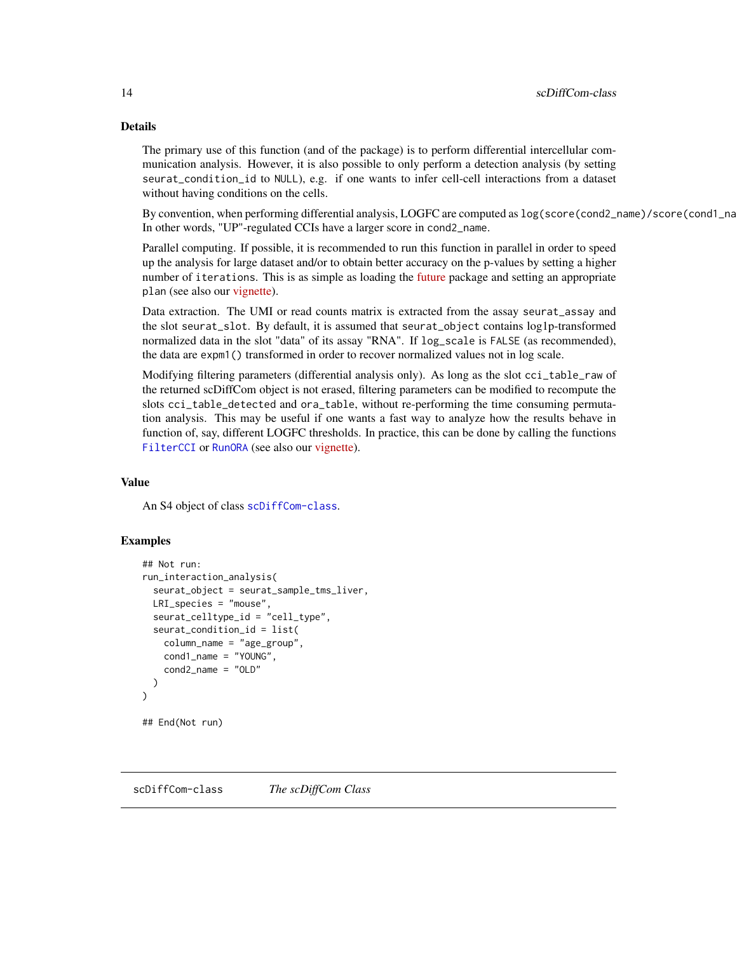## Details

The primary use of this function (and of the package) is to perform differential intercellular communication analysis. However, it is also possible to only perform a detection analysis (by setting seurat\_condition\_id to NULL), e.g. if one wants to infer cell-cell interactions from a dataset without having conditions on the cells.

By convention, when performing differential analysis, LOGFC are computed as  $log(score(cond2_name)/score(cond1_name)$ In other words, "UP"-regulated CCIs have a larger score in cond2\_name.

Parallel computing. If possible, it is recommended to run this function in parallel in order to speed up the analysis for large dataset and/or to obtain better accuracy on the p-values by setting a higher number of iterations. This is as simple as loading the [future](https://CRAN.R-project.org/package=future) package and setting an appropriate plan (see also our [vignette\)](https://cyrillagger.github.io/scDiffCom/articles/scDiffCom-vignette.html).

Data extraction. The UMI or read counts matrix is extracted from the assay seurat\_assay and the slot seurat\_slot. By default, it is assumed that seurat\_object contains log1p-transformed normalized data in the slot "data" of its assay "RNA". If log\_scale is FALSE (as recommended), the data are expm1() transformed in order to recover normalized values not in log scale.

Modifying filtering parameters (differential analysis only). As long as the slot cci\_table\_raw of the returned scDiffCom object is not erased, filtering parameters can be modified to recompute the slots cci\_table\_detected and ora\_table, without re-performing the time consuming permutation analysis. This may be useful if one wants a fast way to analyze how the results behave in function of, say, different LOGFC thresholds. In practice, this can be done by calling the functions [FilterCCI](#page-3-1) or [RunORA](#page-9-1) (see also our [vignette\)](https://cyrillagger.github.io/scDiffCom/articles/scDiffCom-vignette.html).

#### Value

An S4 object of class [scDiffCom-class](#page-13-1).

#### Examples

```
## Not run:
run_interaction_analysis(
  seurat_object = seurat_sample_tms_liver,
 LRI_species = "mouse",
 seurat_celltype_id = "cell_type",
 seurat_condition_id = list(
    column_name = "age_group",
    cond1_name = "YOUNG",
    cond2_name = "OLD"
 )
\mathcal{L}## End(Not run)
```
<span id="page-13-1"></span>scDiffCom-class *The scDiffCom Class*

<span id="page-13-0"></span>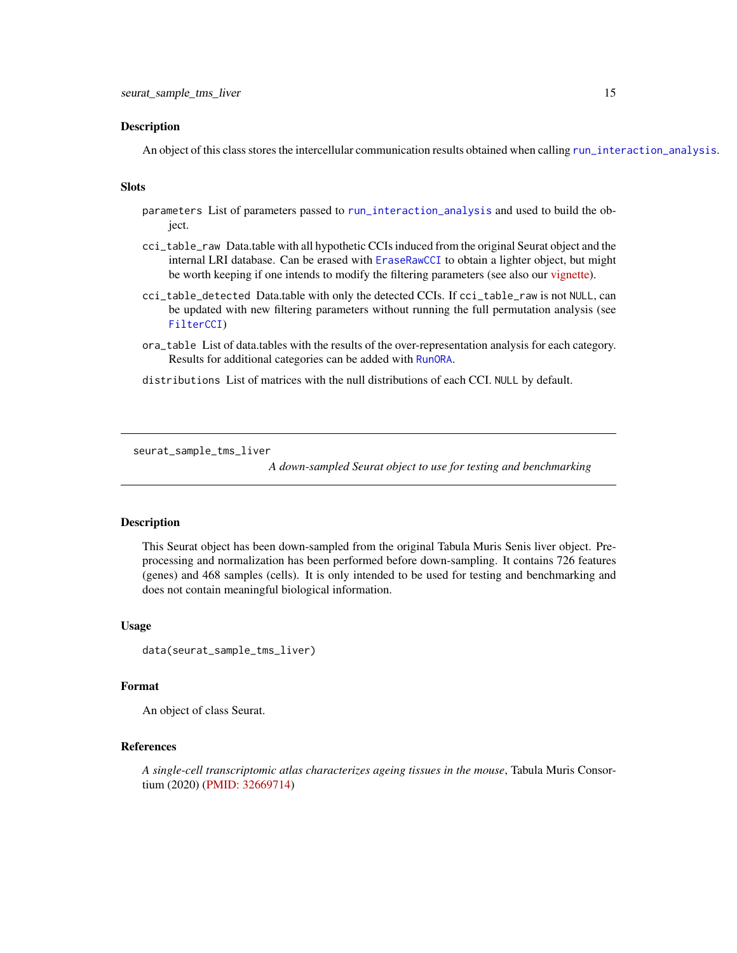#### <span id="page-14-0"></span>Description

An object of this class stores the intercellular communication results obtained when calling [run\\_interaction\\_analysis](#page-10-1).

#### Slots

- parameters List of parameters passed to [run\\_interaction\\_analysis](#page-10-1) and used to build the object.
- cci\_table\_raw Data.table with all hypothetic CCIs induced from the original Seurat object and the internal LRI database. Can be erased with [EraseRawCCI](#page-2-1) to obtain a lighter object, but might be worth keeping if one intends to modify the filtering parameters (see also our [vignette\)](https://cyrillagger.github.io/scDiffCom/articles/scDiffCom-vignette.html).
- cci\_table\_detected Data.table with only the detected CCIs. If cci\_table\_raw is not NULL, can be updated with new filtering parameters without running the full permutation analysis (see [FilterCCI](#page-3-1))
- ora\_table List of data.tables with the results of the over-representation analysis for each category. Results for additional categories can be added with [RunORA](#page-9-1).
- distributions List of matrices with the null distributions of each CCI. NULL by default.

seurat\_sample\_tms\_liver

*A down-sampled Seurat object to use for testing and benchmarking*

### Description

This Seurat object has been down-sampled from the original Tabula Muris Senis liver object. Preprocessing and normalization has been performed before down-sampling. It contains 726 features (genes) and 468 samples (cells). It is only intended to be used for testing and benchmarking and does not contain meaningful biological information.

#### Usage

```
data(seurat_sample_tms_liver)
```
#### Format

An object of class Seurat.

## References

*A single-cell transcriptomic atlas characterizes ageing tissues in the mouse*, Tabula Muris Consortium (2020) [\(PMID: 32669714\)](https://pubmed.ncbi.nlm.nih.gov/32669714/)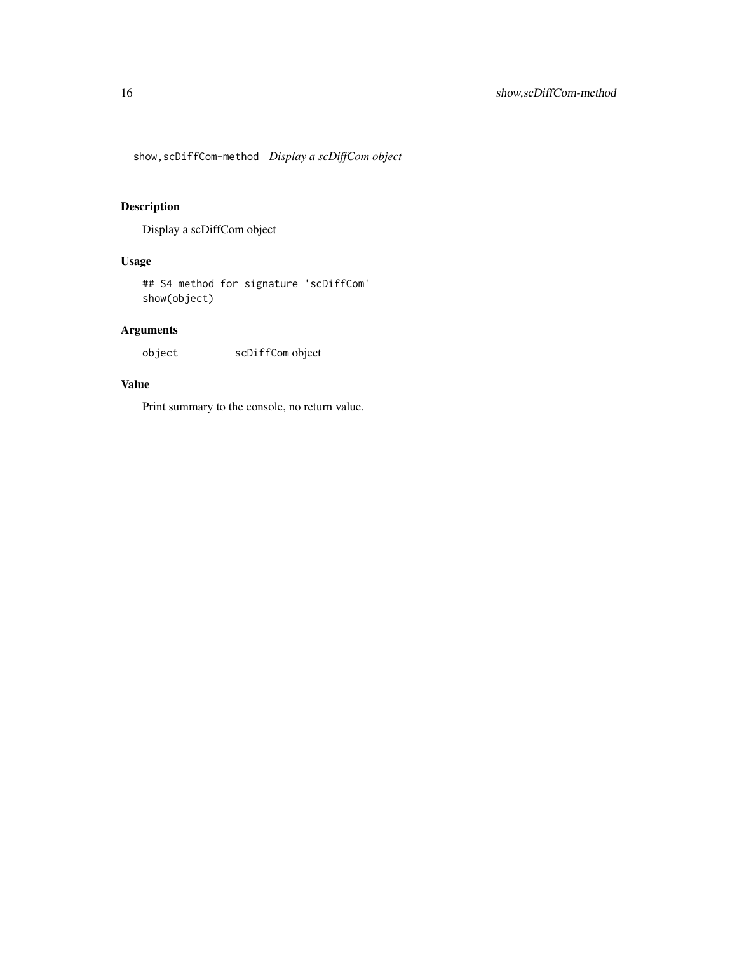<span id="page-15-0"></span>show,scDiffCom-method *Display a scDiffCom object*

## Description

Display a scDiffCom object

## Usage

## S4 method for signature 'scDiffCom' show(object)

## Arguments

object scDiffCom object

## Value

Print summary to the console, no return value.